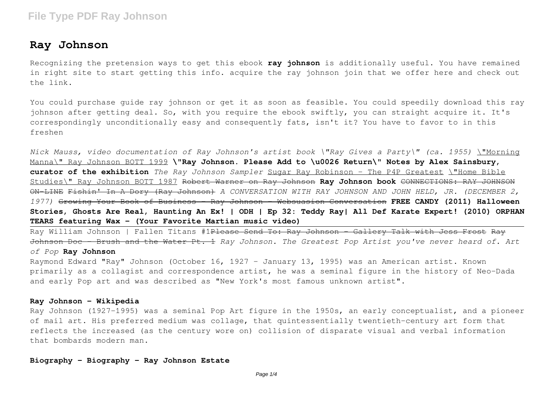## **Ray Johnson**

Recognizing the pretension ways to get this ebook **ray johnson** is additionally useful. You have remained in right site to start getting this info. acquire the ray johnson join that we offer here and check out the link.

You could purchase guide ray johnson or get it as soon as feasible. You could speedily download this ray johnson after getting deal. So, with you require the ebook swiftly, you can straight acquire it. It's correspondingly unconditionally easy and consequently fats, isn't it? You have to favor to in this freshen

*Nick Mauss, video documentation of Ray Johnson's artist book \"Ray Gives a Party\" (ca. 1955)* \"Morning Manna\" Ray Johnson BOTT 1999 **\"Ray Johnson. Please Add to \u0026 Return\" Notes by Alex Sainsbury, curator of the exhibition** *The Ray Johnson Sampler* Sugar Ray Robinson - The P4P Greatest \"Home Bible Studies\" Ray Johnson BOTT 1987 Robert Warner on Ray Johnson **Ray Johnson book** CONNECTIONS: RAY JOHNSON ON-LINE Fishin' In A Dory (Ray Johnson) *A CONVERSATION WITH RAY JOHNSON AND JOHN HELD, JR. (DECEMBER 2, 1977)* Growing Your Book of Business - Ray Johnson - Websuasion Conversation **FREE CANDY (2011) Halloween Stories, Ghosts Are Real, Haunting An Ex! | ODH | Ep 32: Teddy Ray| All Def Karate Expert! (2010) ORPHAN TEARS featuring Wax - (Your Favorite Martian music video)**

Ray William Johnson | Fallen Titans #1<del>Please Send To: Ray Johnson - Gallery Talk with Jess Frost</del> Ray Johnson Doc - Brush and the Water Pt. 1 *Ray Johnson. The Greatest Pop Artist you've never heard of. Art of Pop* **Ray Johnson**

Raymond Edward "Ray" Johnson (October 16, 1927 – January 13, 1995) was an American artist. Known primarily as a collagist and correspondence artist, he was a seminal figure in the history of Neo-Dada and early Pop art and was described as "New York's most famous unknown artist".

#### **Ray Johnson - Wikipedia**

Ray Johnson (1927-1995) was a seminal Pop Art figure in the 1950s, an early conceptualist, and a pioneer of mail art. His preferred medium was collage, that quintessentially twentieth-century art form that reflects the increased (as the century wore on) collision of disparate visual and verbal information that bombards modern man.

## **Biography - Biography - Ray Johnson Estate**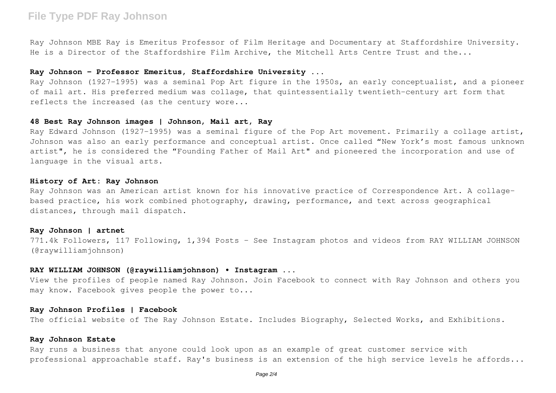## **File Type PDF Ray Johnson**

Ray Johnson MBE Ray is Emeritus Professor of Film Heritage and Documentary at Staffordshire University. He is a Director of the Staffordshire Film Archive, the Mitchell Arts Centre Trust and the...

## **Ray Johnson - Professor Emeritus, Staffordshire University ...**

Ray Johnson (1927-1995) was a seminal Pop Art figure in the 1950s, an early conceptualist, and a pioneer of mail art. His preferred medium was collage, that quintessentially twentieth-century art form that reflects the increased (as the century wore...

## **48 Best Ray Johnson images | Johnson, Mail art, Ray**

Ray Edward Johnson (1927-1995) was a seminal figure of the Pop Art movement. Primarily a collage artist, Johnson was also an early performance and conceptual artist. Once called "New York's most famous unknown artist", he is considered the "Founding Father of Mail Art" and pioneered the incorporation and use of language in the visual arts.

#### **History of Art: Ray Johnson**

Ray Johnson was an American artist known for his innovative practice of Correspondence Art. A collagebased practice, his work combined photography, drawing, performance, and text across geographical distances, through mail dispatch.

## **Ray Johnson | artnet**

771.4k Followers, 117 Following, 1,394 Posts - See Instagram photos and videos from RAY WILLIAM JOHNSON (@raywilliamjohnson)

## **RAY WILLIAM JOHNSON (@raywilliamjohnson) • Instagram ...**

View the profiles of people named Ray Johnson. Join Facebook to connect with Ray Johnson and others you may know. Facebook gives people the power to...

#### **Ray Johnson Profiles | Facebook**

The official website of The Ray Johnson Estate. Includes Biography, Selected Works, and Exhibitions.

## **Ray Johnson Estate**

Ray runs a business that anyone could look upon as an example of great customer service with professional approachable staff. Ray's business is an extension of the high service levels he affords...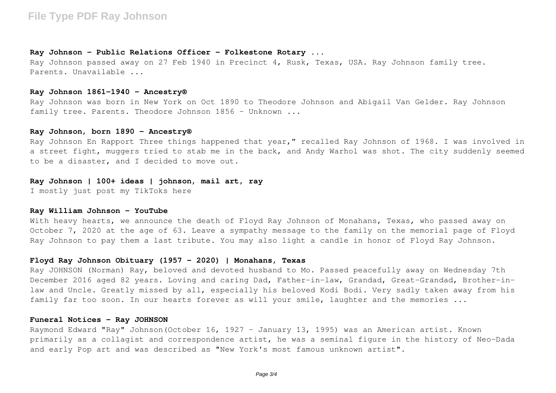#### **Ray Johnson - Public Relations Officer - Folkestone Rotary ...**

Ray Johnson passed away on 27 Feb 1940 in Precinct 4, Rusk, Texas, USA. Ray Johnson family tree. Parents. Unavailable ...

#### **Ray Johnson 1861-1940 - Ancestry®**

Ray Johnson was born in New York on Oct 1890 to Theodore Johnson and Abigail Van Gelder. Ray Johnson family tree. Parents. Theodore Johnson 1856 - Unknown ...

#### **Ray Johnson, born 1890 - Ancestry®**

Ray Johnson En Rapport Three things happened that year," recalled Ray Johnson of 1968. I was involved in a street fight, muggers tried to stab me in the back, and Andy Warhol was shot. The city suddenly seemed to be a disaster, and I decided to move out.

## **Ray Johnson | 100+ ideas | johnson, mail art, ray**

I mostly just post my TikToks here

#### **Ray William Johnson - YouTube**

With heavy hearts, we announce the death of Floyd Ray Johnson of Monahans, Texas, who passed away on October 7, 2020 at the age of 63. Leave a sympathy message to the family on the memorial page of Floyd Ray Johnson to pay them a last tribute. You may also light a candle in honor of Floyd Ray Johnson.

## **Floyd Ray Johnson Obituary (1957 - 2020) | Monahans, Texas**

Ray JOHNSON (Norman) Ray, beloved and devoted husband to Mo. Passed peacefully away on Wednesday 7th December 2016 aged 82 years. Loving and caring Dad, Father-in-law, Grandad, Great-Grandad, Brother-inlaw and Uncle. Greatly missed by all, especially his beloved Kodi Bodi. Very sadly taken away from his family far too soon. In our hearts forever as will your smile, laughter and the memories ...

## **Funeral Notices - Ray JOHNSON**

Raymond Edward "Ray" Johnson(October 16, 1927 – January 13, 1995) was an American artist. Known primarily as a collagist and correspondence artist, he was a seminal figure in the history of Neo-Dada and early Pop art and was described as "New York's most famous unknown artist".